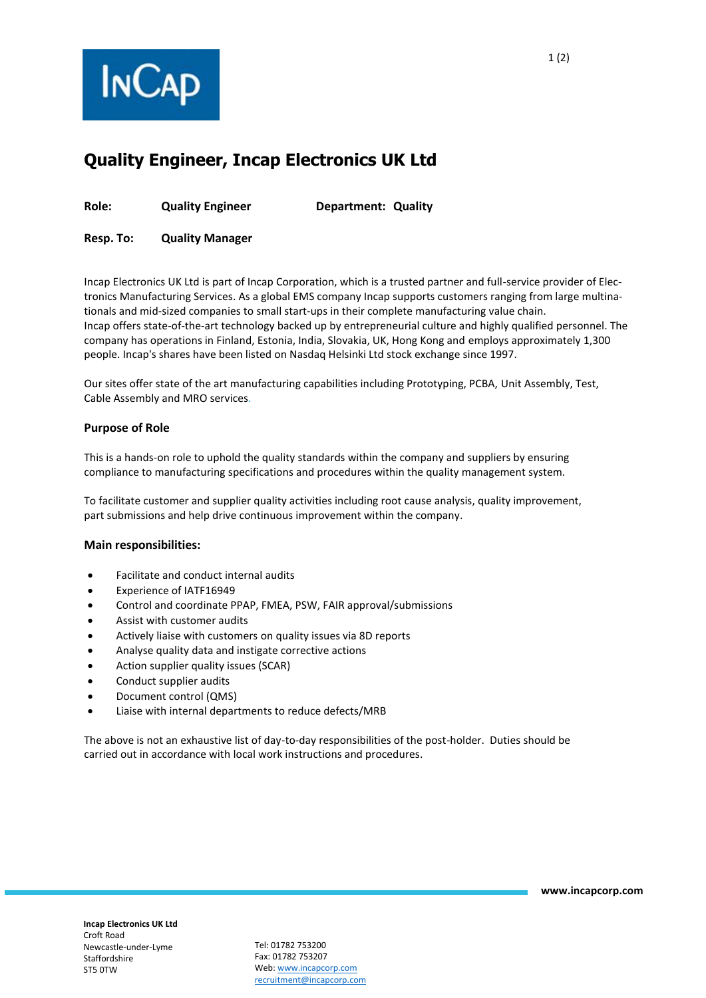

# **Quality Engineer, Incap Electronics UK Ltd**

**Role: Quality Engineer Department: Quality**

**Resp. To: Quality Manager**

Incap Electronics UK Ltd is part of Incap Corporation, which is a trusted partner and full-service provider of Electronics Manufacturing Services. As a global EMS company Incap supports customers ranging from large multinationals and mid-sized companies to small start-ups in their complete manufacturing value chain. Incap offers state-of-the-art technology backed up by entrepreneurial culture and highly qualified personnel. The company has operations in Finland, Estonia, India, Slovakia, UK, Hong Kong and employs approximately 1,300 people. Incap's shares have been listed on Nasdaq Helsinki Ltd stock exchange since 1997.

Our sites offer state of the art manufacturing capabilities including Prototyping, PCBA, Unit Assembly, Test, Cable Assembly and MRO services.

## **Purpose of Role**

This is a hands-on role to uphold the quality standards within the company and suppliers by ensuring compliance to manufacturing specifications and procedures within the quality management system.

To facilitate customer and supplier quality activities including root cause analysis, quality improvement, part submissions and help drive continuous improvement within the company.

#### **Main responsibilities:**

- Facilitate and conduct internal audits
- Experience of IATF16949
- Control and coordinate PPAP, FMEA, PSW, FAIR approval/submissions
- Assist with customer audits
- Actively liaise with customers on quality issues via 8D reports
- Analyse quality data and instigate corrective actions
- Action supplier quality issues (SCAR)
- Conduct supplier audits
- Document control (QMS)
- Liaise with internal departments to reduce defects/MRB

The above is not an exhaustive list of day-to-day responsibilities of the post-holder. Duties should be carried out in accordance with local work instructions and procedures.

Tel: 01782 753200 Fax: 01782 753207 Web: [www.incapcorp.com](http://www.incapcorp.com/) recruitment@incapcorp.com